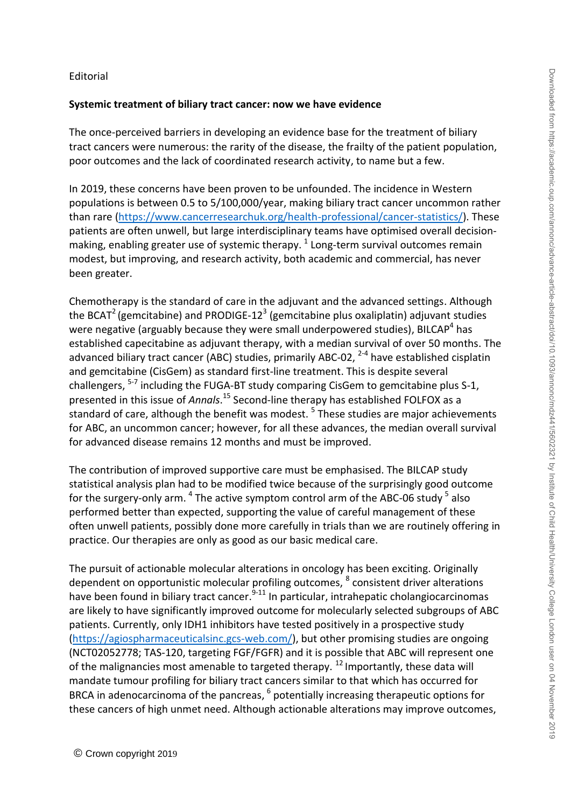#### Editorial

#### **Systemic treatment of biliary tract cancer: now we have evidence**

The once-perceived barriers in developing an evidence base for the treatment of biliary tract cancers were numerous: the rarity of the disease, the frailty of the patient population, poor outcomes and the lack of coordinated research activity, to name but a few.

In 2019, these concerns have been proven to be unfounded. The incidence in Western populations is between 0.5 to 5/100,000/year, making biliary tract cancer uncommon rather than rare [\(https://www.cancerresearchuk.org/health-professional/cancer-statistics/\)](https://www.cancerresearchuk.org/health-professional/cancer-statistics/). These patients are often unwell, but large interdisciplinary teams have optimised overall decisionmaking, enabling greater use of systemic therapy.  $^{1}$  Long-term survival outcomes remain modest, but improving, and research activity, both academic and commercial, has never been greater.

Chemotherapy is the standard of care in the adjuvant and the advanced settings. Although the BCAT<sup>2</sup> (gemcitabine) and PRODIGE-12<sup>3</sup> (gemcitabine plus oxaliplatin) adjuvant studies were negative (arguably because they were small underpowered studies), BILCAP<sup>4</sup> has established capecitabine as adjuvant therapy, with a median survival of over 50 months. The advanced biliary tract cancer (ABC) studies, primarily ABC-02, <sup>2-4</sup> have established cisplatin and gemcitabine (CisGem) as standard first-line treatment. This is despite several challengers, <sup>5-7</sup> including the FUGA-BT study comparing CisGem to gemcitabine plus S-1, presented in this issue of *Annals*. <sup>15</sup> Second-line therapy has established FOLFOX as a standard of care, although the benefit was modest. <sup>5</sup> These studies are major achievements for ABC, an uncommon cancer; however, for all these advances, the median overall survival for advanced disease remains 12 months and must be improved.

The contribution of improved supportive care must be emphasised. The BILCAP study statistical analysis plan had to be modified twice because of the surprisingly good outcome for the surgery-only arm. <sup>4</sup> The active symptom control arm of the ABC-06 study <sup>5</sup> also performed better than expected, supporting the value of careful management of these often unwell patients, possibly done more carefully in trials than we are routinely offering in practice. Our therapies are only as good as our basic medical care.

The pursuit of actionable molecular alterations in oncology has been exciting. Originally dependent on opportunistic molecular profiling outcomes, <sup>8</sup> consistent driver alterations have been found in biliary tract cancer.<sup>9-11</sup> In particular, intrahepatic cholangiocarcinomas are likely to have significantly improved outcome for molecularly selected subgroups of ABC patients. Currently, only IDH1 inhibitors have tested positively in a prospective study [\(https://agiospharmaceuticalsinc.gcs-web.com/\)](https://agiospharmaceuticalsinc.gcs-web.com/), but other promising studies are ongoing (NCT02052778; TAS-120, targeting FGF/FGFR) and it is possible that ABC will represent one of the malignancies most amenable to targeted therapy.  $12$  Importantly, these data will mandate tumour profiling for biliary tract cancers similar to that which has occurred for BRCA in adenocarcinoma of the pancreas, <sup>6</sup> potentially increasing therapeutic options for these cancers of high unmet need. Although actionable alterations may improve outcomes,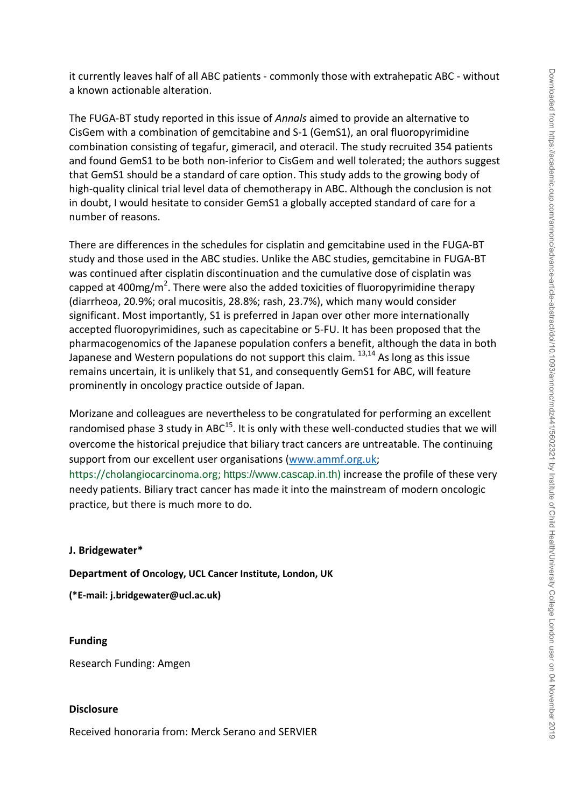it currently leaves half of all ABC patients - commonly those with extrahepatic ABC - without a known actionable alteration.

The FUGA-BT study reported in this issue of *Annals* aimed to provide an alternative to CisGem with a combination of gemcitabine and S-1 (GemS1), an oral fluoropyrimidine combination consisting of tegafur, gimeracil, and oteracil. The study recruited 354 patients and found GemS1 to be both non-inferior to CisGem and well tolerated; the authors suggest that GemS1 should be a standard of care option. This study adds to the growing body of high-quality clinical trial level data of chemotherapy in ABC. Although the conclusion is not in doubt, I would hesitate to consider GemS1 a globally accepted standard of care for a number of reasons.

There are differences in the schedules for cisplatin and gemcitabine used in the FUGA-BT study and those used in the ABC studies. Unlike the ABC studies, gemcitabine in FUGA-BT was continued after cisplatin discontinuation and the cumulative dose of cisplatin was capped at 400mg/m<sup>2</sup>. There were also the added toxicities of fluoropyrimidine therapy (diarrheoa, 20.9%; oral mucositis, 28.8%; rash, 23.7%), which many would consider significant. Most importantly, S1 is preferred in Japan over other more internationally accepted fluoropyrimidines, such as capecitabine or 5-FU. It has been proposed that the pharmacogenomics of the Japanese population confers a benefit, although the data in both Japanese and Western populations do not support this claim.  $^{13,14}$  As long as this issue remains uncertain, it is unlikely that S1, and consequently GemS1 for ABC, will feature prominently in oncology practice outside of Japan.

Morizane and colleagues are nevertheless to be congratulated for performing an excellent randomised phase 3 study in ABC $^{15}$ . It is only with these well-conducted studies that we will overcome the historical prejudice that biliary tract cancers are untreatable. The continuing support from our excellent user organisations [\(www.ammf.org.uk;](http://www.ammf.org.uk/) https://cholangiocarcinoma.org; [https://www.cascap.in.th](https://www.cascap.in.th/)) increase the profile of these very

needy patients. Biliary tract cancer has made it into the mainstream of modern oncologic practice, but there is much more to do.

## **J. Bridgewater\***

**Department of Oncology, UCL Cancer Institute, London, UK**

**(\*E-mail: j.bridgewater@ucl.ac.uk)**

## **Funding**

Research Funding: Amgen

# **Disclosure**

Received honoraria from: Merck Serano and SERVIER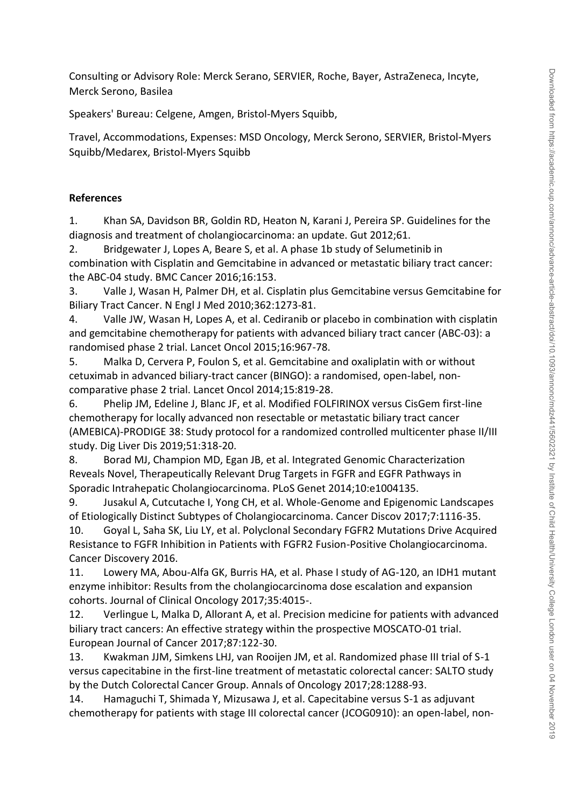Consulting or Advisory Role: Merck Serano, SERVIER, Roche, Bayer, AstraZeneca, Incyte, Merck Serono, Basilea

Speakers' Bureau: Celgene, Amgen, Bristol-Myers Squibb,

Travel, Accommodations, Expenses: MSD Oncology, Merck Serono, SERVIER, Bristol-Myers Squibb/Medarex, Bristol-Myers Squibb

### **References**

1. Khan SA, Davidson BR, Goldin RD, Heaton N, Karani J, Pereira SP. Guidelines for the diagnosis and treatment of cholangiocarcinoma: an update. Gut 2012;61.

2. Bridgewater J, Lopes A, Beare S, et al. A phase 1b study of Selumetinib in combination with Cisplatin and Gemcitabine in advanced or metastatic biliary tract cancer: the ABC-04 study. BMC Cancer 2016;16:153.

3. Valle J, Wasan H, Palmer DH, et al. Cisplatin plus Gemcitabine versus Gemcitabine for Biliary Tract Cancer. N Engl J Med 2010;362:1273-81.

4. Valle JW, Wasan H, Lopes A, et al. Cediranib or placebo in combination with cisplatin and gemcitabine chemotherapy for patients with advanced biliary tract cancer (ABC-03): a randomised phase 2 trial. Lancet Oncol 2015;16:967-78.

5. Malka D, Cervera P, Foulon S, et al. Gemcitabine and oxaliplatin with or without cetuximab in advanced biliary-tract cancer (BINGO): a randomised, open-label, noncomparative phase 2 trial. Lancet Oncol 2014;15:819-28.

6. Phelip JM, Edeline J, Blanc JF, et al. Modified FOLFIRINOX versus CisGem first-line chemotherapy for locally advanced non resectable or metastatic biliary tract cancer (AMEBICA)-PRODIGE 38: Study protocol for a randomized controlled multicenter phase II/III study. Dig Liver Dis 2019;51:318-20.

8. Borad MJ, Champion MD, Egan JB, et al. Integrated Genomic Characterization Reveals Novel, Therapeutically Relevant Drug Targets in FGFR and EGFR Pathways in Sporadic Intrahepatic Cholangiocarcinoma. PLoS Genet 2014;10:e1004135.

9. Jusakul A, Cutcutache I, Yong CH, et al. Whole-Genome and Epigenomic Landscapes of Etiologically Distinct Subtypes of Cholangiocarcinoma. Cancer Discov 2017;7:1116-35.

10. Goyal L, Saha SK, Liu LY, et al. Polyclonal Secondary FGFR2 Mutations Drive Acquired Resistance to FGFR Inhibition in Patients with FGFR2 Fusion-Positive Cholangiocarcinoma. Cancer Discovery 2016.

11. Lowery MA, Abou-Alfa GK, Burris HA, et al. Phase I study of AG-120, an IDH1 mutant enzyme inhibitor: Results from the cholangiocarcinoma dose escalation and expansion cohorts. Journal of Clinical Oncology 2017;35:4015-.

12. Verlingue L, Malka D, Allorant A, et al. Precision medicine for patients with advanced biliary tract cancers: An effective strategy within the prospective MOSCATO-01 trial. European Journal of Cancer 2017;87:122-30.

13. Kwakman JJM, Simkens LHJ, van Rooijen JM, et al. Randomized phase III trial of S-1 versus capecitabine in the first-line treatment of metastatic colorectal cancer: SALTO study by the Dutch Colorectal Cancer Group. Annals of Oncology 2017;28:1288-93.

14. Hamaguchi T, Shimada Y, Mizusawa J, et al. Capecitabine versus S-1 as adjuvant chemotherapy for patients with stage III colorectal cancer (JCOG0910): an open-label, non